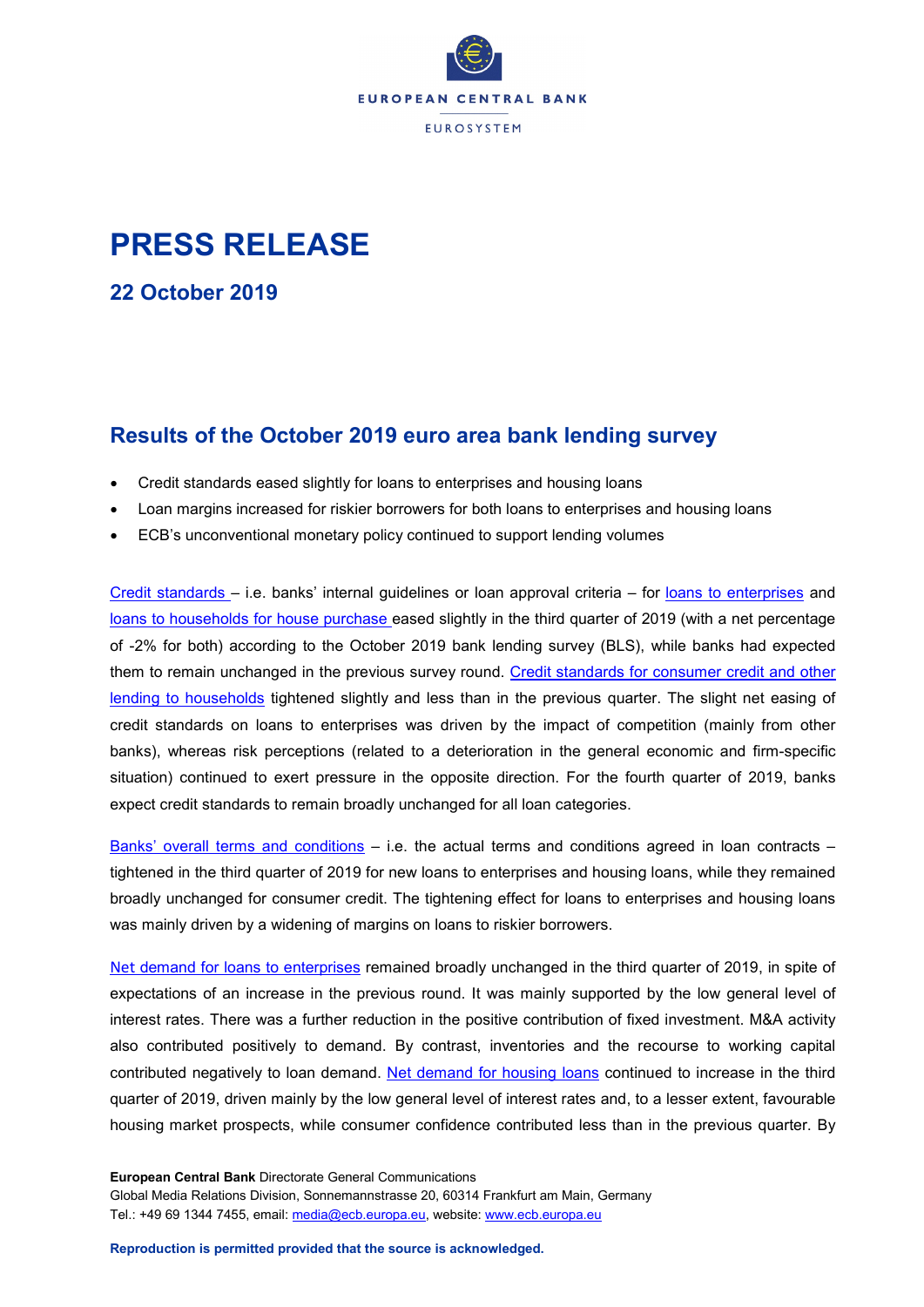

## **PRESS RELEASE**

**22 October 2019**

## **Results of the October 2019 euro area bank lending survey**

- Credit standards eased slightly for loans to enterprises and housing loans
- Loan margins increased for riskier borrowers for both loans to enterprises and housing loans
- ECB's unconventional monetary policy continued to support lending volumes

Credit standards – [i.e. banks' internal guidelines or loan approval criteria –](https://sdw.ecb.europa.eu/quickview.do?SERIES_KEY=258.BLS.Q.U2.ALL.O.E.Z.B3.ST.S.BWFNET) for loans to enterprises an[d](https://sdw.ecb.europa.eu/quickview.do?SERIES_KEY=258.BLS.Q.U2.ALL.Z.H.H.B3.ST.S.BWFNET) [loans to households for house purchase](https://sdw.ecb.europa.eu/quickview.do?SERIES_KEY=258.BLS.Q.U2.ALL.Z.H.H.B3.ST.S.BWFNET) eased slightly in the third quarter of 2019 (with a net percentage of -2% for both) according to the October 2019 bank lending survey (BLS), while banks had expected them to remain unchanged in the previous survey round. [Credit standards for consumer credit and other](https://sdw.ecb.europa.eu/quickview.do?SERIES_KEY=258.BLS.Q.U2.ALL.Z.H.C.B3.ST.S.BWFNET)  [lending to households](https://sdw.ecb.europa.eu/quickview.do?SERIES_KEY=258.BLS.Q.U2.ALL.Z.H.C.B3.ST.S.BWFNET) tightened slightly and less than in the previous quarter. The slight net easing of credit standards on loans to enterprises was driven by the impact of competition (mainly from other banks), whereas risk perceptions (related to a deterioration in the general economic and firm-specific situation) continued to exert pressure in the opposite direction. For the fourth quarter of 2019, banks expect credit standards to remain broadly unchanged for all loan categories.

[Banks' overall terms and conditions](https://sdw.ecb.europa.eu/browseSelection.do?type=series&q=BLS.Q.U2.ALL.O.E.Z.B3.TC.S.BWFNET%2c+BLS.Q.U2.ALL.O.H.H.B3.TC.S.BWFNET%2c+BLS.Q.U2.ALL.O.H.C.B3.TC.S.BWFNET&node=SEARCHRESULTS&ec=&oc=&rc=&cv=&pb=&dc=&df=) – i.e. the actual terms and conditions agreed in loan contracts – tightened in the third quarter of 2019 for new loans to enterprises and housing loans, while they remained broadly unchanged for consumer credit. The tightening effect for loans to enterprises and housing loans was mainly driven by a widening of margins on loans to riskier borrowers.

Net [demand for loans to enterprises](https://sdw.ecb.europa.eu/quickview.do?SERIES_KEY=258.BLS.Q.U2.ALL.O.E.Z.B3.ZZ.D.BWFNET) remained broadly unchanged in the third quarter of 2019, in spite of expectations of an increase in the previous round. It was mainly supported by the low general level of interest rates. There was a further reduction in the positive contribution of fixed investment. M&A activity also contributed positively to demand. By contrast, inventories and the recourse to working capital contributed negatively to loan demand. [Net demand for housing loans](https://sdw.ecb.europa.eu/quickview.do?SERIES_KEY=258.BLS.Q.U2.ALL.Z.H.H.B3.ZZ.D.BWFNET) continued to increase in the third quarter of 2019, driven mainly by the low general level of interest rates and, to a lesser extent, favourable housing market prospects, while consumer confidence contributed less than in the previous quarter. By

**European Central Bank** Directorate General Communications Global Media Relations Division, Sonnemannstrasse 20, 60314 Frankfurt am Main, Germany Tel.: +49 69 1344 7455, email: [media@ecb.europa.eu,](mailto:media@ecb.europa.eu) website[: www.ecb.europa.eu](http://www.ecb.europa.eu/)

**Reproduction is permitted provided that the source is acknowledged.**